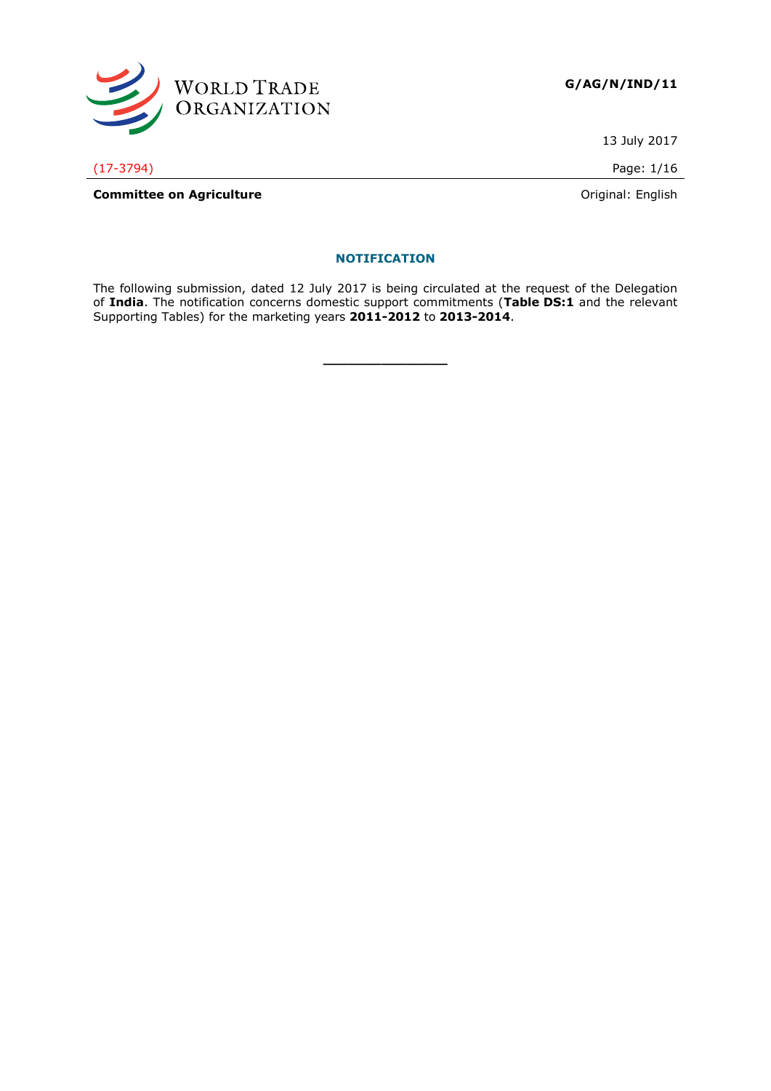

13 July 2017

(17-3794) Page: 1/16

**Committee on Agriculture Committee on Agriculture Committee on Agriculture Committee on Agriculture Committee on Agriculture Committee on Agriculture Committee on Agriculture Committee on Agriculture Commi** 

# **NOTIFICATION**

The following submission, dated 12 July 2017 is being circulated at the request of the Delegation of **India**. The notification concerns domestic support commitments (**Table DS:1** and the relevant Supporting Tables) for the marketing years **2011-2012** to **2013-2014**.

**\_\_\_\_\_\_\_\_\_\_\_\_\_\_\_**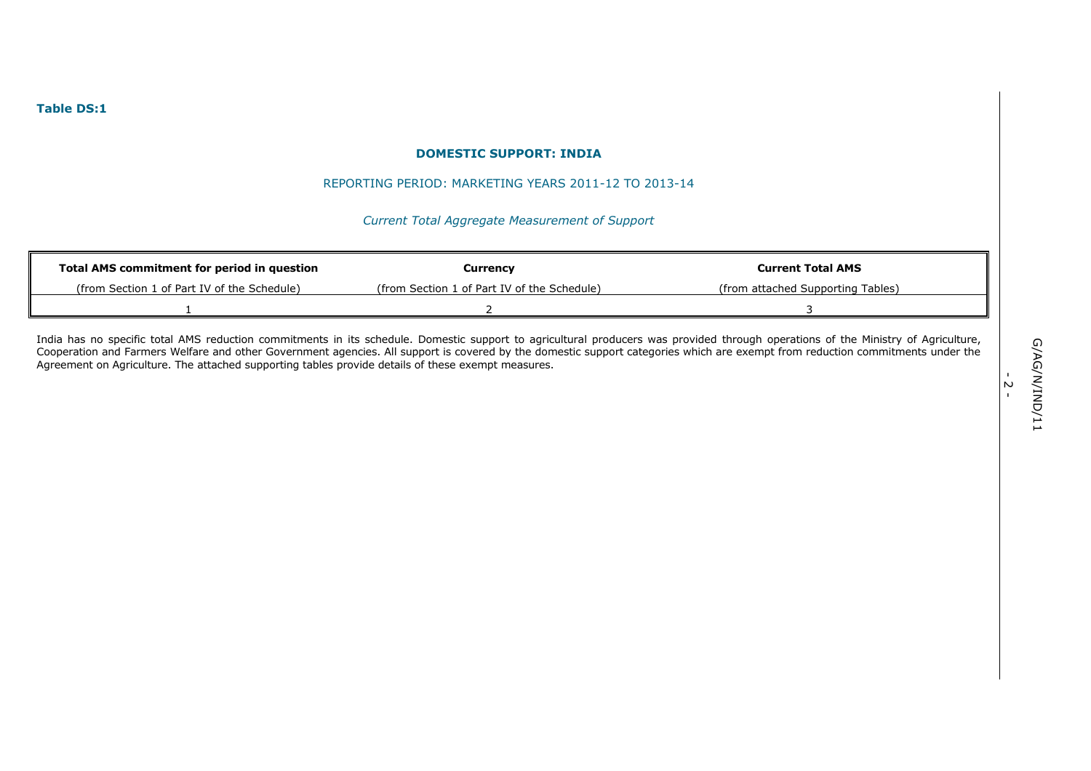#### REPORTING PERIOD: MARKETING YEARS 2011-12 TO 2013-14

# *Current Total Aggregate Measurement of Support*

| Total AMS commitment for period in question | Currency                                    | <b>Current Total AMS</b>          |
|---------------------------------------------|---------------------------------------------|-----------------------------------|
| (from Section 1 of Part IV of the Schedule) | (from Section 1 of Part IV of the Schedule) | (from attached Supporting Tables) |
|                                             |                                             |                                   |

India has no specific total AMS reduction commitments in its schedule. Domestic support to agricultural producers was provided through operations of the Ministry of Agriculture, Cooperation and Farmers Welfare and other Government agencies. All support is covered by the domestic support categories which are exempt from reduction commitments under the Agreement on Agriculture. The attached supporting tables provide details of these exempt measures.

-<br>- 2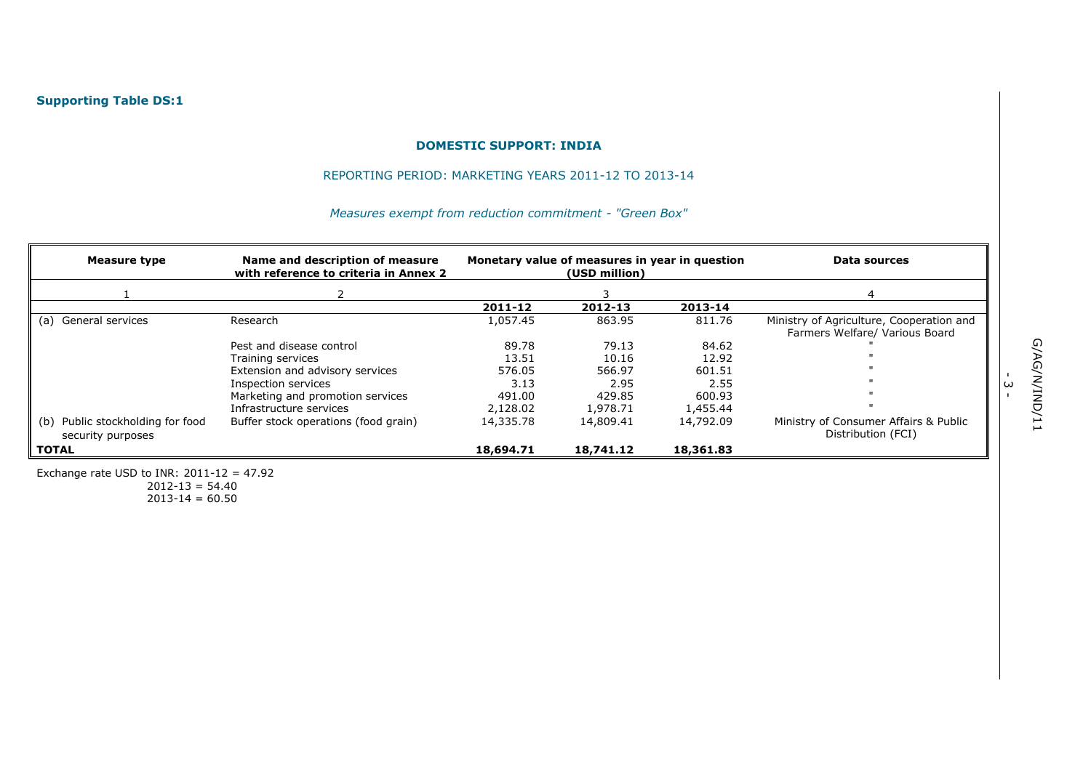## REPORTING PERIOD: MARKETING YEARS 2011-12 TO 2013-14

# *Measures exempt from reduction commitment - "Green Box"*

| Measure type                                             | Name and description of measure<br>with reference to criteria in Annex 2 | Monetary value of measures in year in question<br>(USD million) |           |           | Data sources                                                               |
|----------------------------------------------------------|--------------------------------------------------------------------------|-----------------------------------------------------------------|-----------|-----------|----------------------------------------------------------------------------|
|                                                          |                                                                          |                                                                 |           |           |                                                                            |
|                                                          |                                                                          | 2011-12                                                         | 2012-13   | 2013-14   |                                                                            |
| General services<br>(a)                                  | Research                                                                 | 1,057.45                                                        | 863.95    | 811.76    | Ministry of Agriculture, Cooperation and<br>Farmers Welfare/ Various Board |
|                                                          | Pest and disease control                                                 | 89.78                                                           | 79.13     | 84.62     |                                                                            |
|                                                          | Training services                                                        | 13.51                                                           | 10.16     | 12.92     |                                                                            |
|                                                          | Extension and advisory services                                          | 576.05                                                          | 566.97    | 601.51    |                                                                            |
|                                                          | Inspection services                                                      | 3.13                                                            | 2.95      | 2.55      |                                                                            |
|                                                          | Marketing and promotion services                                         | 491.00                                                          | 429.85    | 600.93    |                                                                            |
|                                                          | Infrastructure services                                                  | 2,128.02                                                        | 1,978.71  | 1,455.44  |                                                                            |
| Public stockholding for food<br>(b)<br>security purposes | Buffer stock operations (food grain)                                     | 14,335.78                                                       | 14,809.41 | 14,792.09 | Ministry of Consumer Affairs & Public<br>Distribution (FCI)                |
| <b>TOTAL</b>                                             |                                                                          | 18,694.71                                                       | 18,741.12 | 18,361.83 |                                                                            |

Exchange rate USD to INR:  $2011-12 = 47.92$ 

 $2012-13 = 54.40$  $2013 - 14 = 60.50$  .<br>س<br>ت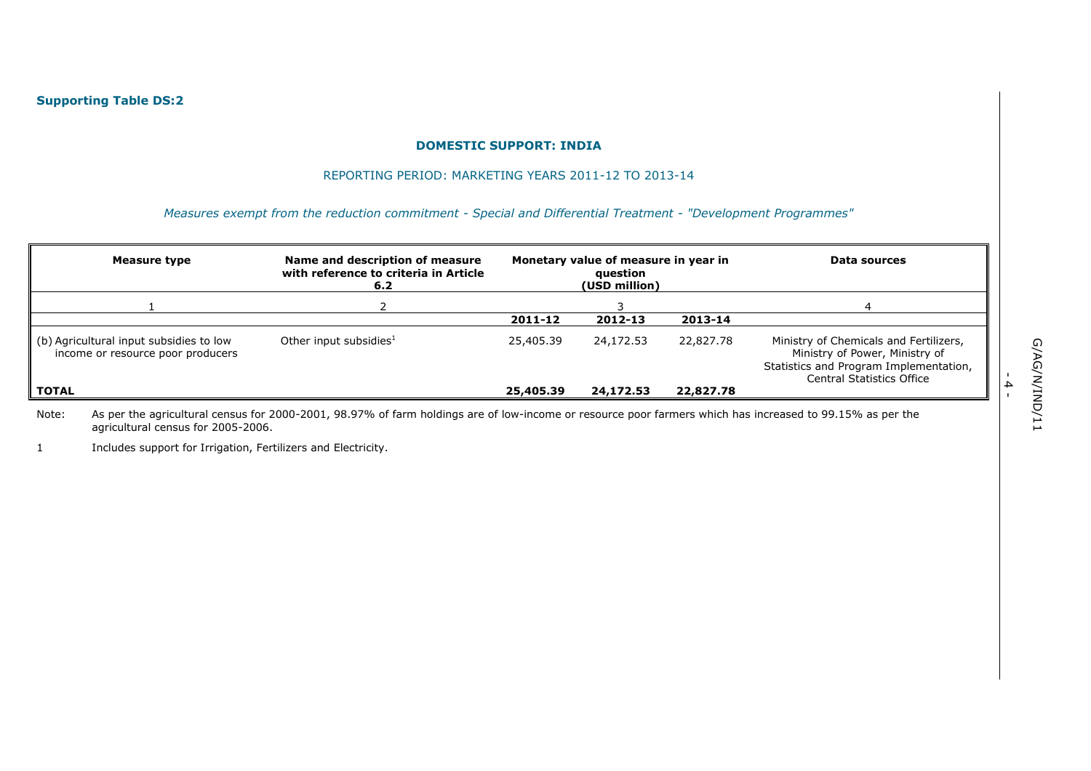#### REPORTING PERIOD: MARKETING YEARS 2011-12 TO 2013-14

*Measures exempt from the reduction commitment - Special and Differential Treatment - "Development Programmes"*

| Measure type                                                                 | Name and description of measure<br>with reference to criteria in Article<br>6.2 | Monetary value of measure in year in<br>question<br>(USD million) |           |           | Data sources                                                                                                                                    |
|------------------------------------------------------------------------------|---------------------------------------------------------------------------------|-------------------------------------------------------------------|-----------|-----------|-------------------------------------------------------------------------------------------------------------------------------------------------|
|                                                                              |                                                                                 |                                                                   |           |           |                                                                                                                                                 |
|                                                                              |                                                                                 | 2011-12                                                           | 2012-13   | 2013-14   |                                                                                                                                                 |
| (b) Agricultural input subsidies to low<br>income or resource poor producers | Other input subsidies $1$                                                       | 25,405.39                                                         | 24,172.53 | 22,827.78 | Ministry of Chemicals and Fertilizers,<br>Ministry of Power, Ministry of<br>Statistics and Program Implementation,<br>Central Statistics Office |
| TOTAL                                                                        |                                                                                 | 25,405.39                                                         | 24,172.53 | 22,827.78 |                                                                                                                                                 |

Note: As per the agricultural census for 2000-2001, 98.97% of farm holdings are of low-income or resource poor farmers which has increased to 99.15% as per the agricultural census for 2005-2006.

1 Includes support for Irrigation, Fertilizers and Electricity.

- 4 -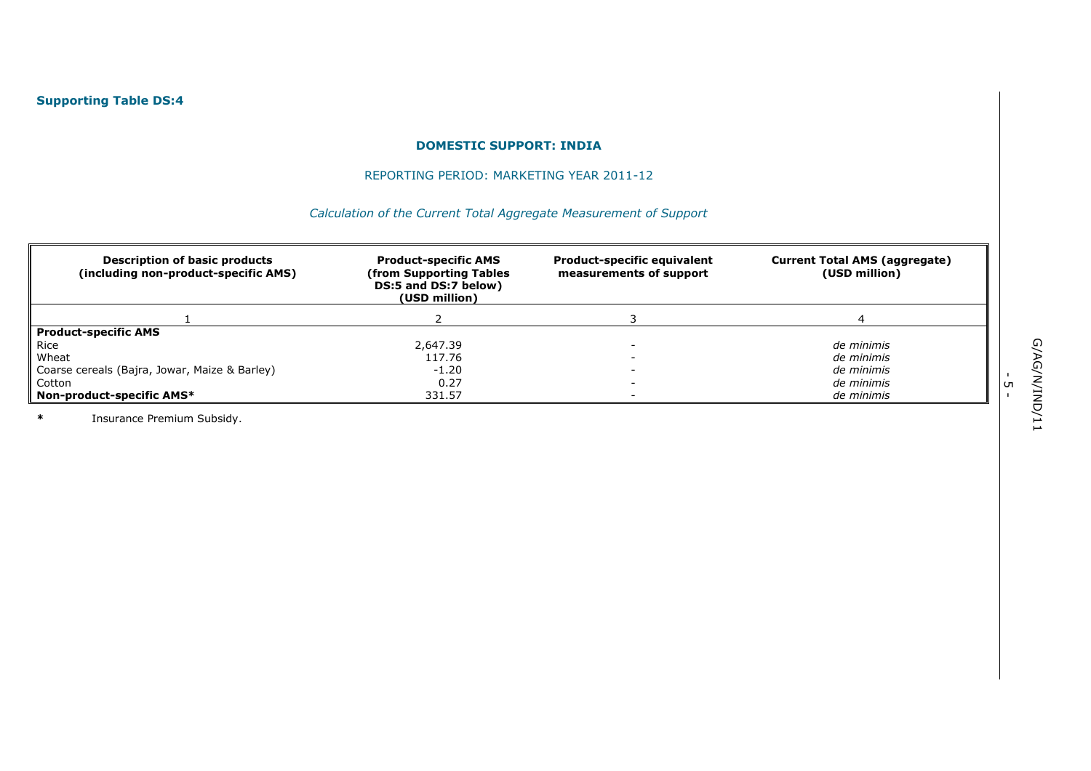## REPORTING PERIOD: MARKETING YEAR 2011-12

# *Calculation of the Current Total Aggregate Measurement of Support*

| <b>Description of basic products</b><br>(including non-product-specific AMS) | <b>Product-specific AMS</b><br>from Supporting Tables)<br>DS:5 and DS:7 below)<br>(USD million) | <b>Product-specific equivalent</b><br>measurements of support | <b>Current Total AMS (aggregate)</b><br>(USD million) |
|------------------------------------------------------------------------------|-------------------------------------------------------------------------------------------------|---------------------------------------------------------------|-------------------------------------------------------|
|                                                                              |                                                                                                 |                                                               |                                                       |
| Product-specific AMS                                                         |                                                                                                 |                                                               |                                                       |
| Rice                                                                         | 2,647.39                                                                                        |                                                               | de minimis                                            |
| Wheat                                                                        | 117.76                                                                                          |                                                               | de minimis                                            |
| Coarse cereals (Bajra, Jowar, Maize & Barley)                                | $-1.20$                                                                                         |                                                               | de minimis                                            |
| Cotton                                                                       | 0.27                                                                                            |                                                               | de minimis                                            |
| Non-product-specific AMS*                                                    | 331.57                                                                                          |                                                               | de minimis                                            |

**\*** Insurance Premium Subsidy.

י<br>- ד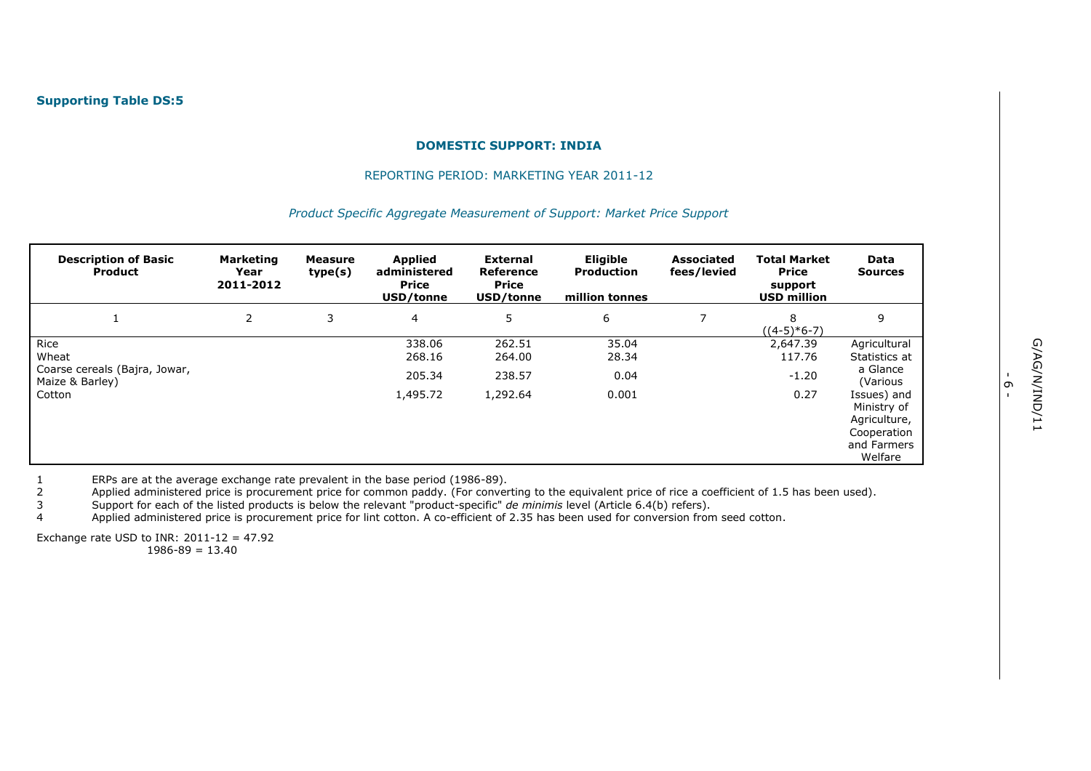#### REPORTING PERIOD: MARKETING YEAR 2011-12

#### *Product Specific Aggregate Measurement of Support: Market Price Support*

| <b>Description of Basic</b><br><b>Product</b>    | <b>Marketing</b><br>Year<br>2011-2012 | Measure<br>type(s) | <b>Applied</b><br>administered<br><b>Price</b><br>USD/tonne | <b>External</b><br>Reference<br><b>Price</b><br>USD/tonne | <b>Eligible</b><br><b>Production</b><br>million tonnes | <b>Associated</b><br>fees/levied | <b>Total Market</b><br><b>Price</b><br>support<br><b>USD million</b> | Data<br><b>Sources</b>                                                              |
|--------------------------------------------------|---------------------------------------|--------------------|-------------------------------------------------------------|-----------------------------------------------------------|--------------------------------------------------------|----------------------------------|----------------------------------------------------------------------|-------------------------------------------------------------------------------------|
|                                                  | 2                                     | 3                  | $\overline{4}$                                              | 5                                                         | 6                                                      | 7                                | 8<br>$((4-5)*6-7)$                                                   | 9                                                                                   |
| Rice<br>Wheat                                    |                                       |                    | 338.06<br>268.16                                            | 262.51<br>264.00                                          | 35.04<br>28.34                                         |                                  | 2,647.39<br>117.76                                                   | Agricultural<br>Statistics at                                                       |
| Coarse cereals (Bajra, Jowar,<br>Maize & Barley) |                                       |                    | 205.34                                                      | 238.57                                                    | 0.04                                                   |                                  | $-1.20$                                                              | a Glance<br>(Various                                                                |
| Cotton                                           |                                       |                    | 1,495.72                                                    | 1,292.64                                                  | 0.001                                                  |                                  | 0.27                                                                 | Issues) and<br>Ministry of<br>Agriculture,<br>Cooperation<br>and Farmers<br>Welfare |

1 ERPs are at the average exchange rate prevalent in the base period (1986-89).<br>2 Applied administered price is procurement price for common paddy. (For conver

2 Applied administered price is procurement price for common paddy. (For converting to the equivalent price of rice a coefficient of 1.5 has been used).<br>3 Support for each of the listed products is below the relevant "pro

3 Support for each of the listed products is below the relevant "product-specific" *de minimis* level (Article 6.4(b) refers).

4 Applied administered price is procurement price for lint cotton. A co-efficient of 2.35 has been used for conversion from seed cotton.

Exchange rate USD to INR:  $2011-12 = 47.92$ 

 $1986 - 89 = 13.40$ 

י<br>-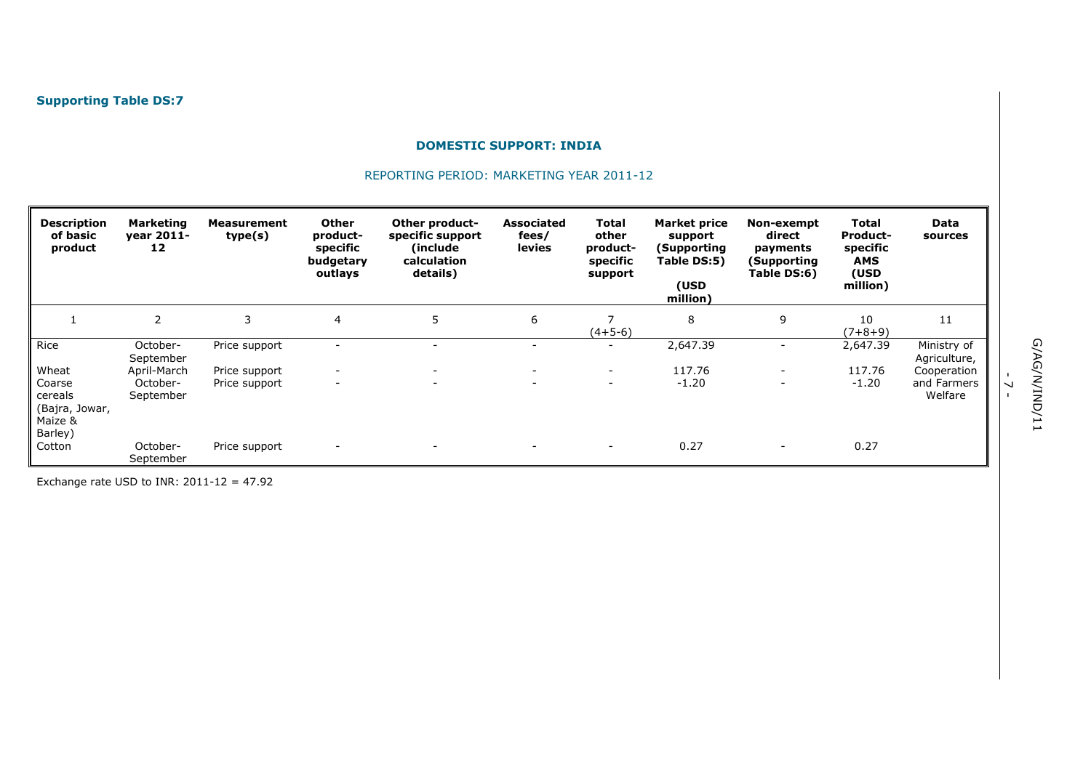# REPORTING PERIOD: MARKETING YEAR 2011-12

| <b>Description</b><br>of basic<br>product | <b>Marketing</b><br>vear 2011-<br>12 | Measurement<br>type(s) | <b>Other</b><br>product-<br>specific<br>budgetary<br>outlays | Other product-<br>specific support<br>(include)<br>calculation<br>details) | <b>Associated</b><br>fees/<br>levies | Total<br>other<br>product-<br>specific<br>support | <b>Market price</b><br>support<br>(Supporting<br>Table DS:5)<br>(USD<br>million) | Non-exempt<br>direct<br>payments<br>(Supporting<br>Table DS:6) | Total<br><b>Product-</b><br>specific<br>AMS<br>(USD<br>million) | Data<br>sources             |
|-------------------------------------------|--------------------------------------|------------------------|--------------------------------------------------------------|----------------------------------------------------------------------------|--------------------------------------|---------------------------------------------------|----------------------------------------------------------------------------------|----------------------------------------------------------------|-----------------------------------------------------------------|-----------------------------|
|                                           | $\overline{2}$                       | 3                      | 4                                                            | 5                                                                          | 6                                    | ⇁<br>$(4+5-6)$                                    | 8                                                                                | 9                                                              | 10<br>$(7+8+9)$                                                 | 11                          |
| Rice                                      | October-<br>September                | Price support          |                                                              |                                                                            | $\overline{\phantom{a}}$             | $\sim$                                            | 2,647.39                                                                         |                                                                | 2,647.39                                                        | Ministry of<br>Agriculture, |
| Wheat                                     | April-March                          | Price support          |                                                              |                                                                            | $\overline{\phantom{a}}$             | $\overline{\phantom{0}}$                          | 117.76                                                                           |                                                                | 117.76                                                          | Cooperation                 |
| Coarse                                    | October-                             | Price support          | $\overline{\phantom{a}}$                                     | $\overline{\phantom{a}}$                                                   | $\overline{\phantom{0}}$             | $\overline{\phantom{a}}$                          | $-1.20$                                                                          | $\qquad \qquad \blacksquare$                                   | $-1.20$                                                         | and Farmers                 |
| cereals                                   | September                            |                        |                                                              |                                                                            |                                      |                                                   |                                                                                  |                                                                |                                                                 | Welfare                     |
| (Bajra, Jowar,<br>Maize &                 |                                      |                        |                                                              |                                                                            |                                      |                                                   |                                                                                  |                                                                |                                                                 |                             |
| Barley)                                   |                                      |                        |                                                              |                                                                            |                                      |                                                   |                                                                                  |                                                                |                                                                 |                             |
| Cotton                                    | October-<br>September                | Price support          | $\overline{\phantom{a}}$                                     | $\sim$                                                                     | $\sim$                               | $\sim$                                            | 0.27                                                                             | $\overline{\phantom{a}}$                                       | 0.27                                                            |                             |

Exchange rate USD to INR:  $2011-12 = 47.92$ 

-<br>- <sup>7</sup>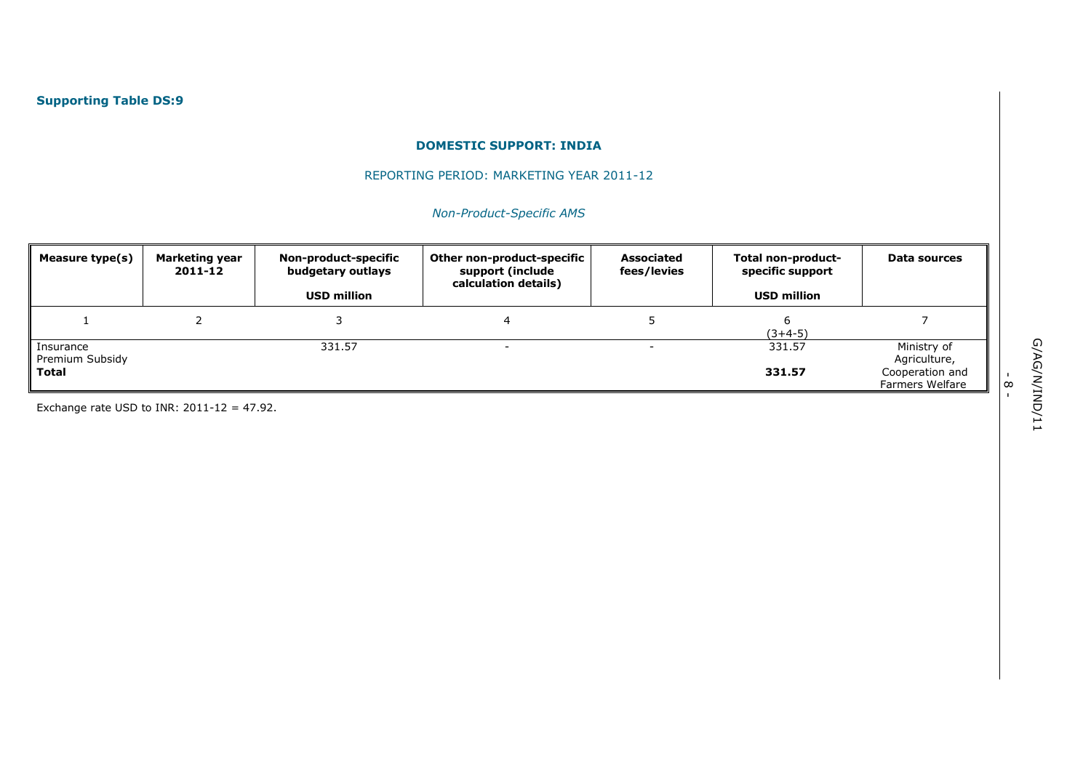## REPORTING PERIOD: MARKETING YEAR 2011-12

# *Non-Product-Specific AMS*

| Measure type(s)                       | Marketing year<br>2011-12 | Non-product-specific<br>budgetary outlays<br><b>USD million</b> | Other non-product-specific<br>support (include<br>calculation details) | <b>Associated</b><br>fees/levies | Total non-product-<br>specific support<br><b>USD million</b> | Data sources                                                      |
|---------------------------------------|---------------------------|-----------------------------------------------------------------|------------------------------------------------------------------------|----------------------------------|--------------------------------------------------------------|-------------------------------------------------------------------|
|                                       |                           |                                                                 |                                                                        |                                  | $(3+4-5)$                                                    |                                                                   |
| Insurance<br>Premium Subsidy<br>Total |                           | 331.57                                                          |                                                                        | -                                | 331.57<br>331.57                                             | Ministry of<br>Agriculture,<br>Cooperation and<br>Farmers Welfare |

Exchange rate USD to INR:  $2011-12 = 47.92$ .

.<br>- 8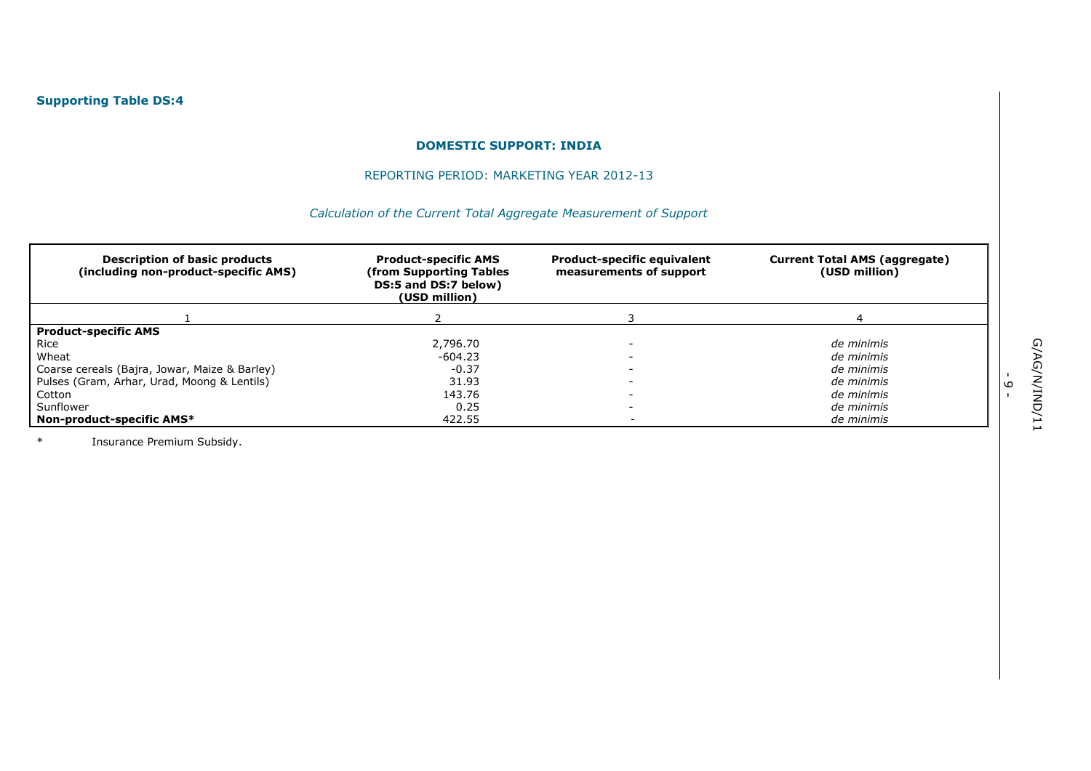## REPORTING PERIOD: MARKETING YEAR 2012-13

# *Calculation of the Current Total Aggregate Measurement of Support*

| <b>Description of basic products</b><br>(including non-product-specific AMS) | <b>Product-specific AMS</b><br>from Supporting Tables)<br>DS:5 and DS:7 below)<br>(USD million) | <b>Product-specific equivalent</b><br>measurements of support | <b>Current Total AMS (aggregate)</b><br>(USD million) |
|------------------------------------------------------------------------------|-------------------------------------------------------------------------------------------------|---------------------------------------------------------------|-------------------------------------------------------|
|                                                                              |                                                                                                 |                                                               |                                                       |
| <b>Product-specific AMS</b>                                                  |                                                                                                 |                                                               |                                                       |
| Rice                                                                         | 2,796.70                                                                                        |                                                               | de minimis                                            |
| Wheat                                                                        | $-604.23$                                                                                       |                                                               | de minimis                                            |
| Coarse cereals (Bajra, Jowar, Maize & Barley)                                | $-0.37$                                                                                         |                                                               | de minimis                                            |
| Pulses (Gram, Arhar, Urad, Moong & Lentils)                                  | 31.93                                                                                           |                                                               | de minimis                                            |
| Cotton                                                                       | 143.76                                                                                          |                                                               | de minimis                                            |
| Sunflower                                                                    | 0.25                                                                                            |                                                               | de minimis                                            |
| Non-product-specific AMS*                                                    | 422.55                                                                                          |                                                               | de minimis                                            |

\* Insurance Premium Subsidy.

.<br>م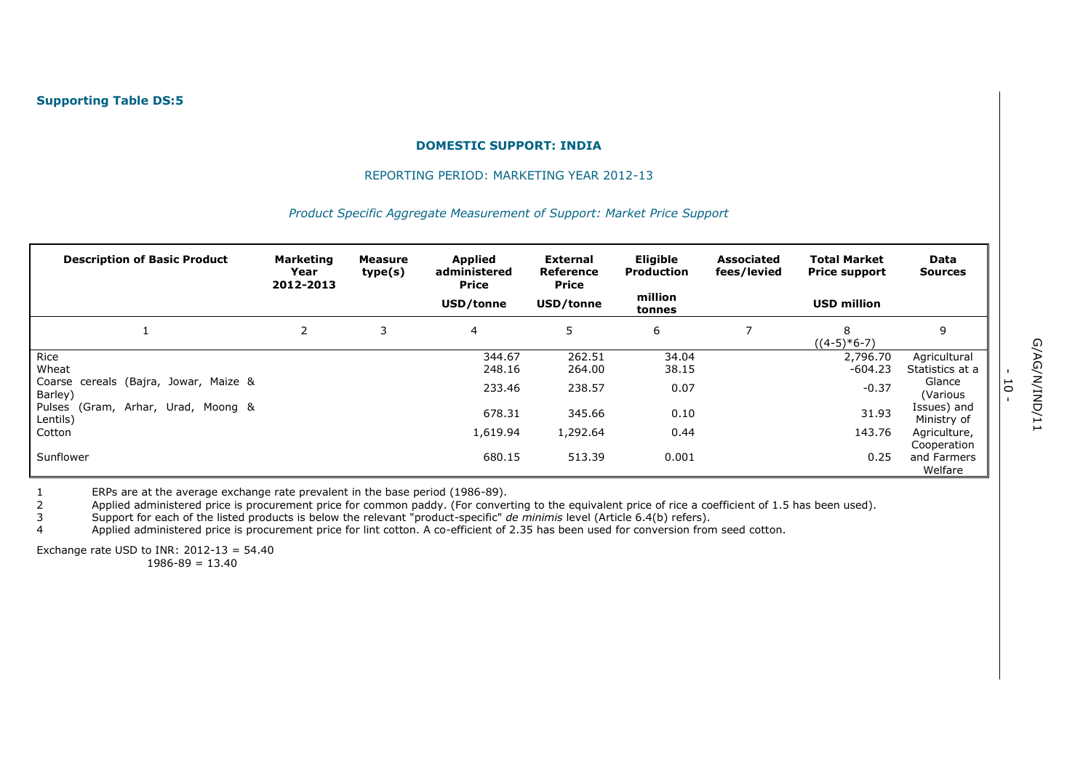#### REPORTING PERIOD: MARKETING YEAR 2012-13

#### *Product Specific Aggregate Measurement of Support: Market Price Support*

| <b>Description of Basic Product</b>              | <b>Marketing</b><br>Year<br>2012-2013 | <b>Measure</b><br>type(s) | <b>Applied</b><br>administered<br><b>Price</b> | External<br><b>Reference</b><br>Price | <b>Eligible</b><br><b>Production</b> | <b>Associated</b><br>fees/levied | <b>Total Market</b><br><b>Price support</b> | Data<br><b>Sources</b>     |
|--------------------------------------------------|---------------------------------------|---------------------------|------------------------------------------------|---------------------------------------|--------------------------------------|----------------------------------|---------------------------------------------|----------------------------|
|                                                  |                                       |                           | USD/tonne                                      | USD/tonne                             | million<br>tonnes                    |                                  | <b>USD million</b>                          |                            |
|                                                  | 2                                     | 3                         | 4                                              | 5                                     | 6                                    |                                  | 8<br>$((4-5)*6-7)$                          | 9                          |
| Rice                                             |                                       |                           | 344.67                                         | 262.51                                | 34.04                                |                                  | 2,796.70                                    | Agricultural               |
| Wheat                                            |                                       |                           | 248.16                                         | 264.00                                | 38.15                                |                                  | $-604.23$                                   | Statistics at a            |
| Coarse cereals (Bajra, Jowar, Maize &<br>Barley) |                                       |                           | 233.46                                         | 238.57                                | 0.07                                 |                                  | $-0.37$                                     | Glance<br>(Various         |
| Pulses (Gram, Arhar, Urad, Moong &<br>Lentils)   |                                       |                           | 678.31                                         | 345.66                                | 0.10                                 |                                  | 31.93                                       | Issues) and<br>Ministry of |
| Cotton                                           |                                       |                           | 1,619.94                                       | 1,292.64                              | 0.44                                 |                                  | 143.76                                      | Agriculture,               |
|                                                  |                                       |                           |                                                |                                       |                                      |                                  |                                             | Cooperation                |
| Sunflower                                        |                                       |                           | 680.15                                         | 513.39                                | 0.001                                |                                  | 0.25                                        | and Farmers<br>Welfare     |

1 ERPs are at the average exchange rate prevalent in the base period (1986-89).<br>2 Applied administered price is procurement price for common paddy. (For conver

Applied administered price is procurement price for common paddy. (For converting to the equivalent price of rice a coefficient of 1.5 has been used).

3 Support for each of the listed products is below the relevant "product-specific" *de minimis* level (Article 6.4(b) refers).

Applied administered price is procurement price for lint cotton. A co-efficient of 2.35 has been used for conversion from seed cotton.

Exchange rate USD to INR:  $2012-13 = 54.40$  $1986 - 89 = 13.40$ 

- 10 -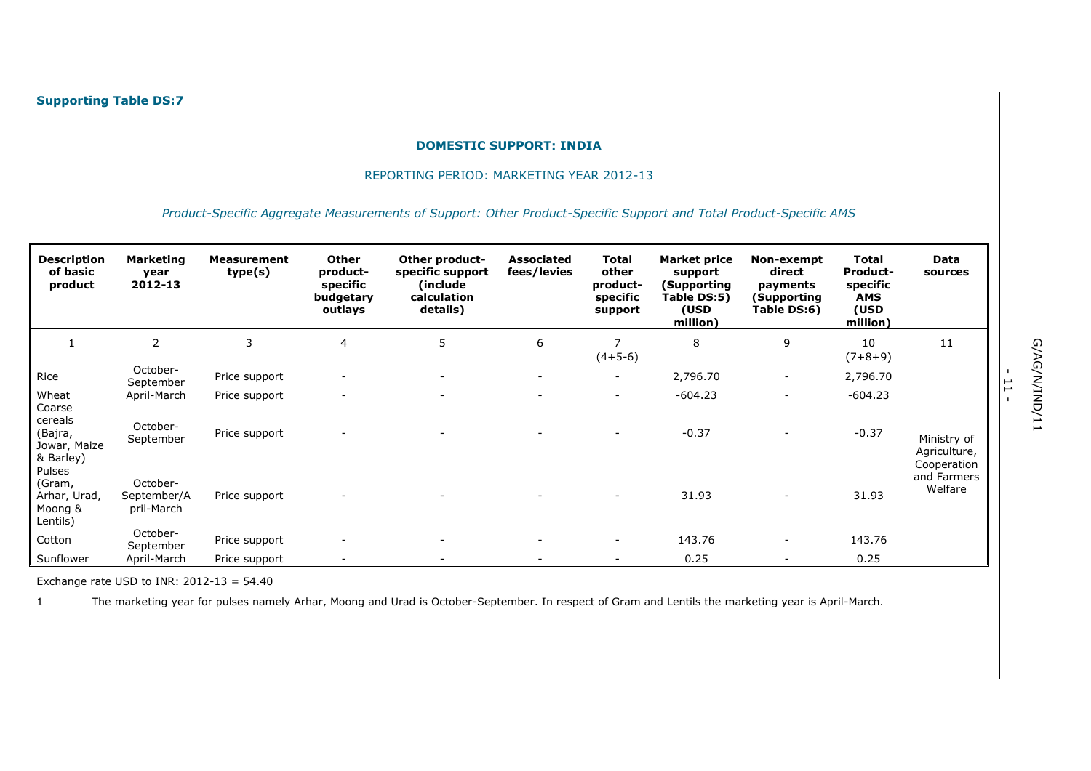#### REPORTING PERIOD: MARKETING YEAR 2012-13

#### *Product-Specific Aggregate Measurements of Support: Other Product-Specific Support and Total Product-Specific AMS*

| <b>Description</b><br>of basic<br>product                 | <b>Marketing</b><br>year<br>2012-13   | <b>Measurement</b><br>type(s) | <b>Other</b><br>product-<br>specific<br>budgetary<br>outlays | Other product-<br>specific support<br>(include<br>calculation<br>details) | <b>Associated</b><br>fees/levies | Total<br>other<br>product-<br>specific<br>support | <b>Market price</b><br>support<br>(Supporting<br>Table DS:5)<br>(USD<br>million) | Non-exempt<br>direct<br>payments<br>(Supporting<br>Table DS:6) | Total<br><b>Product-</b><br>specific<br><b>AMS</b><br>(USD<br>million) | Data<br>sources                       |
|-----------------------------------------------------------|---------------------------------------|-------------------------------|--------------------------------------------------------------|---------------------------------------------------------------------------|----------------------------------|---------------------------------------------------|----------------------------------------------------------------------------------|----------------------------------------------------------------|------------------------------------------------------------------------|---------------------------------------|
|                                                           | $\overline{2}$                        | 3                             | $\overline{4}$                                               | 5                                                                         | 6                                | $(4+5-6)$                                         | 8                                                                                | 9                                                              | 10<br>$(7+8+9)$                                                        | 11                                    |
| Rice                                                      | October-<br>September                 | Price support                 | $\overline{\phantom{a}}$                                     | $\overline{\phantom{m}}$                                                  | $\overline{\phantom{0}}$         | $\overline{\phantom{a}}$                          | 2,796.70                                                                         | $\overline{\phantom{a}}$                                       | 2,796.70                                                               |                                       |
| Wheat                                                     | April-March                           | Price support                 | $\overline{\phantom{a}}$                                     |                                                                           |                                  | $\overline{\phantom{a}}$                          | $-604.23$                                                                        | $\overline{\phantom{a}}$                                       | $-604.23$                                                              |                                       |
| Coarse<br>cereals<br>(Bajra,<br>Jowar, Maize<br>& Barley) | October-<br>September                 | Price support                 |                                                              |                                                                           |                                  |                                                   | $-0.37$                                                                          |                                                                | $-0.37$                                                                | Ministry of<br>Agriculture,           |
| Pulses<br>(Gram,<br>Arhar, Urad,<br>Moong &<br>Lentils)   | October-<br>September/A<br>pril-March | Price support                 | $\overline{\phantom{a}}$                                     |                                                                           |                                  |                                                   | 31.93                                                                            |                                                                | 31.93                                                                  | Cooperation<br>and Farmers<br>Welfare |
| Cotton                                                    | October-<br>September                 | Price support                 |                                                              |                                                                           |                                  | $\overline{\phantom{0}}$                          | 143.76                                                                           | $\overline{\phantom{a}}$                                       | 143.76                                                                 |                                       |
| Sunflower                                                 | April-March                           | Price support                 |                                                              |                                                                           |                                  |                                                   | 0.25                                                                             |                                                                | 0.25                                                                   |                                       |

Exchange rate USD to INR:  $2012-13 = 54.40$ 

1 The marketing year for pulses namely Arhar, Moong and Urad is October-September. In respect of Gram and Lentils the marketing year is April-March.

- ب<br>-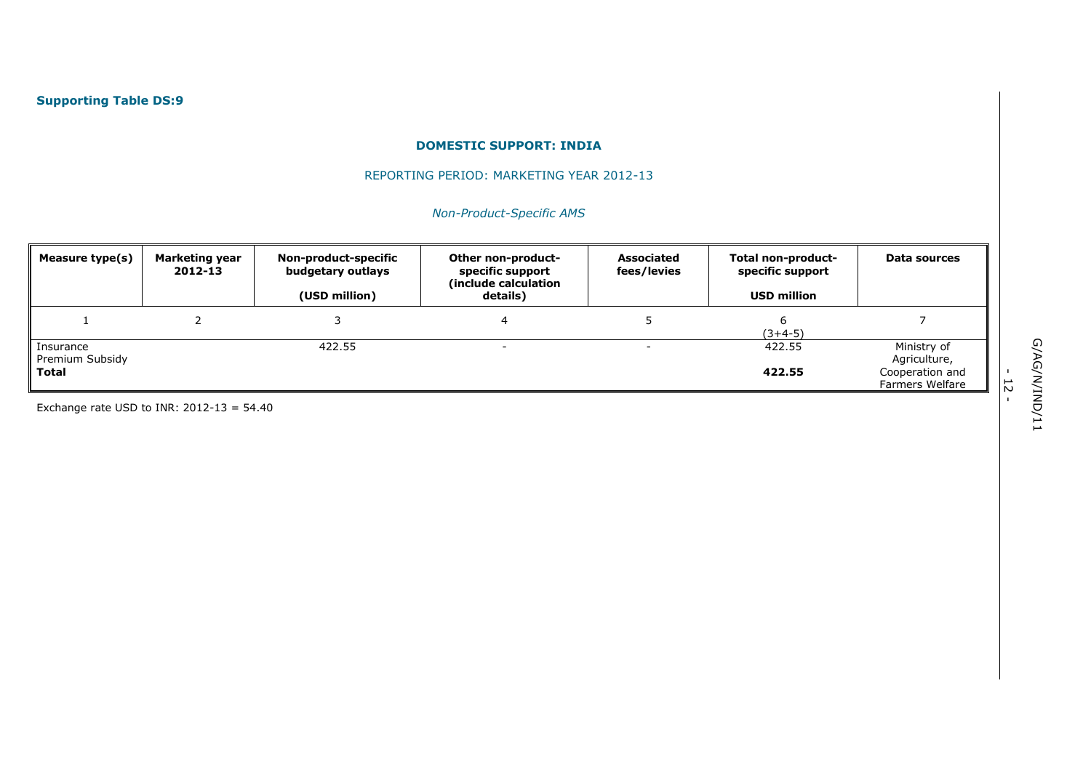## REPORTING PERIOD: MARKETING YEAR 2012-13

# *Non-Product-Specific AMS*

| Measure type(s)                       | Marketing year<br>2012-13 | Non-product-specific<br>budgetary outlays<br>(USD million) | Other non-product-<br>specific support<br>(include calculation<br>details) | <b>Associated</b><br>fees/levies | Total non-product-<br>specific support<br><b>USD million</b> | Data sources                                                      |
|---------------------------------------|---------------------------|------------------------------------------------------------|----------------------------------------------------------------------------|----------------------------------|--------------------------------------------------------------|-------------------------------------------------------------------|
|                                       |                           |                                                            |                                                                            |                                  | $(3+4-5)$                                                    |                                                                   |
| Insurance<br>Premium Subsidy<br>Total |                           | 422.55                                                     |                                                                            |                                  | 422.55<br>422.55                                             | Ministry of<br>Agriculture,<br>Cooperation and<br>Farmers Welfare |

Exchange rate USD to INR:  $2012-13 = 54.40$ 

- 12<br>-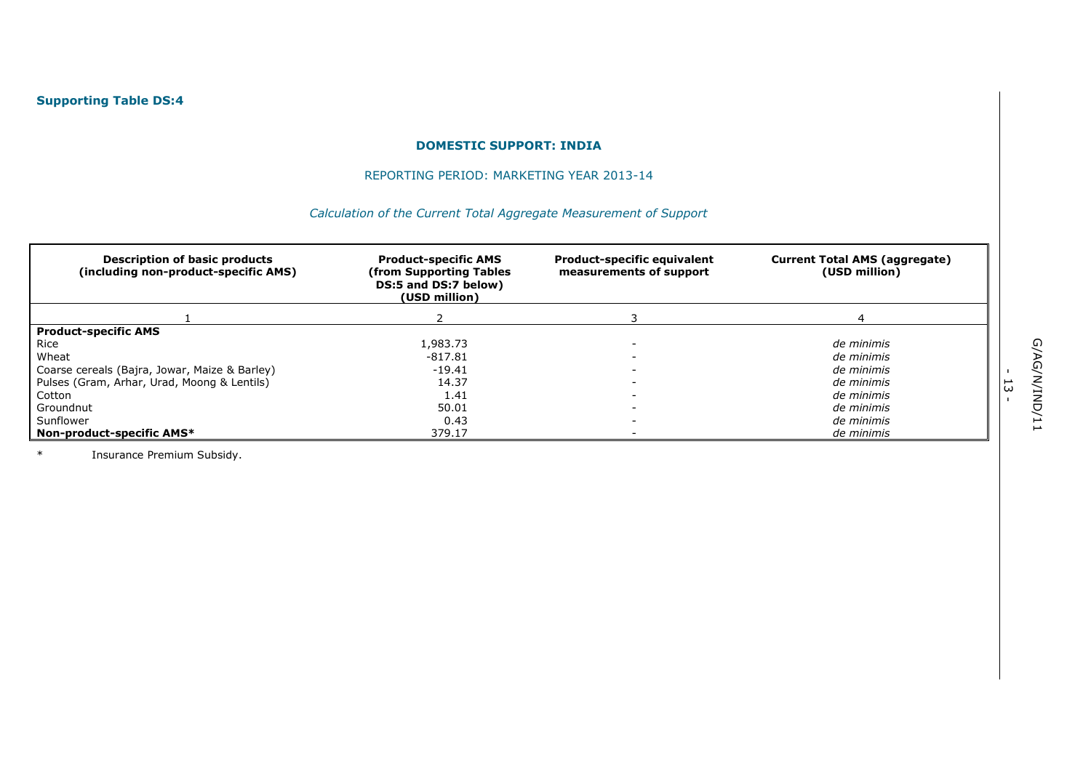## REPORTING PERIOD: MARKETING YEAR 2013-14

# *Calculation of the Current Total Aggregate Measurement of Support*

| <b>Description of basic products</b><br>(including non-product-specific AMS) | <b>Product-specific AMS</b><br>(from Supporting Tables<br>DS:5 and DS:7 below)<br>(USD million) | <b>Product-specific equivalent</b><br>measurements of support | <b>Current Total AMS (aggregate)</b><br>(USD million) |
|------------------------------------------------------------------------------|-------------------------------------------------------------------------------------------------|---------------------------------------------------------------|-------------------------------------------------------|
|                                                                              |                                                                                                 |                                                               |                                                       |
| <b>Product-specific AMS</b>                                                  |                                                                                                 |                                                               |                                                       |
| Rice                                                                         | 1,983.73                                                                                        |                                                               | de minimis                                            |
| Wheat                                                                        | $-817.81$                                                                                       |                                                               | de minimis                                            |
| Coarse cereals (Bajra, Jowar, Maize & Barley)                                | $-19.41$                                                                                        |                                                               | de minimis                                            |
| Pulses (Gram, Arhar, Urad, Moong & Lentils)                                  | 14.37                                                                                           |                                                               | de minimis                                            |
| Cotton                                                                       | 1.41                                                                                            |                                                               | de minimis                                            |
| Groundnut                                                                    | 50.01                                                                                           |                                                               | de minimis                                            |
| Sunflower                                                                    | 0.43                                                                                            |                                                               | de minimis                                            |
| Non-product-specific AMS*                                                    | 379.17                                                                                          |                                                               | de minimis                                            |

\* Insurance Premium Subsidy.

- ب<br>-<br>-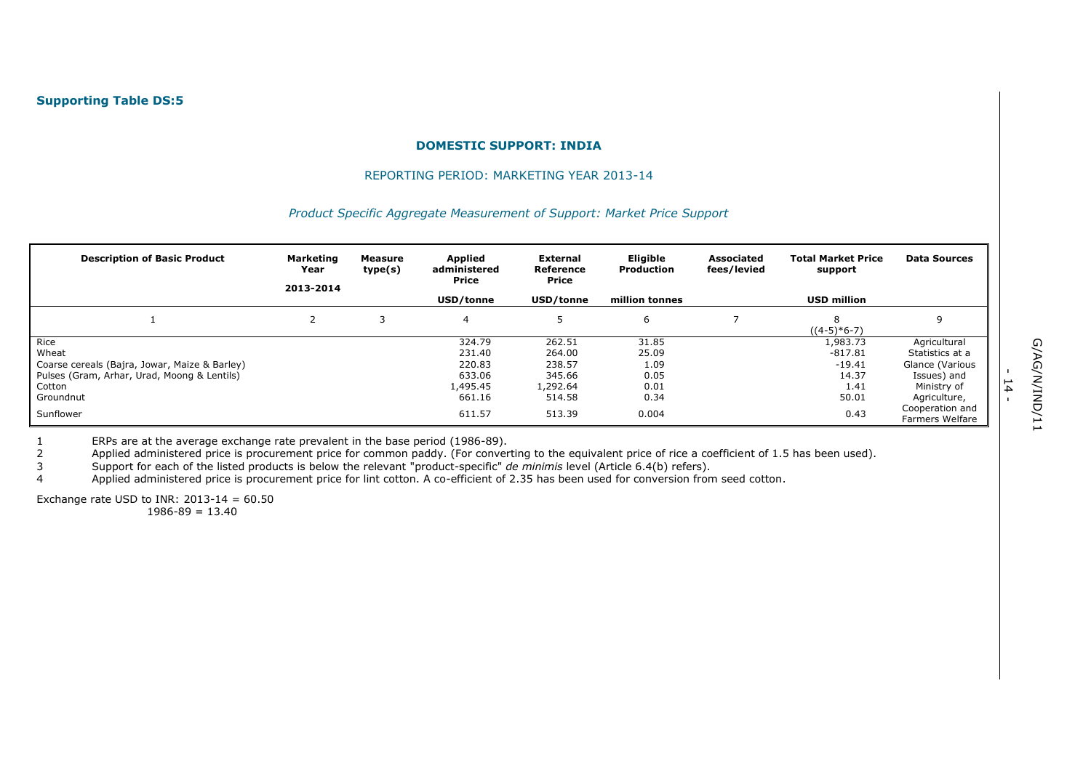#### REPORTING PERIOD: MARKETING YEAR 2013-14

#### *Product Specific Aggregate Measurement of Support: Market Price Support*

| <b>Description of Basic Product</b>           | <b>Marketing</b><br>Year<br>2013-2014 | Measure<br>type(s) | Applied<br>administered<br>Price<br>USD/tonne | External<br>Reference<br>Price<br>USD/tonne | Eligible<br>Production<br>million tonnes | <b>Associated</b><br>fees/levied | <b>Total Market Price</b><br>support<br><b>USD million</b> | <b>Data Sources</b>                |
|-----------------------------------------------|---------------------------------------|--------------------|-----------------------------------------------|---------------------------------------------|------------------------------------------|----------------------------------|------------------------------------------------------------|------------------------------------|
|                                               |                                       |                    |                                               |                                             |                                          |                                  |                                                            |                                    |
|                                               |                                       |                    | 4                                             |                                             | 6                                        |                                  | $((4-5)*6-7)$                                              |                                    |
| Rice                                          |                                       |                    | 324.79                                        | 262.51                                      | 31.85                                    |                                  | 1,983.73                                                   | Agricultural                       |
| Wheat                                         |                                       |                    | 231.40                                        | 264.00                                      | 25.09                                    |                                  | $-817.81$                                                  | Statistics at a                    |
| Coarse cereals (Bajra, Jowar, Maize & Barley) |                                       |                    | 220.83                                        | 238.57                                      | 1.09                                     |                                  | $-19.41$                                                   | Glance (Various                    |
| Pulses (Gram, Arhar, Urad, Moong & Lentils)   |                                       |                    | 633.06                                        | 345.66                                      | 0.05                                     |                                  | 14.37                                                      | Issues) and                        |
| Cotton                                        |                                       |                    | 1,495.45                                      | 1,292.64                                    | 0.01                                     |                                  | 1.41                                                       | Ministry of                        |
| Groundnut                                     |                                       |                    | 661.16                                        | 514.58                                      | 0.34                                     |                                  | 50.01                                                      | Agriculture,                       |
| Sunflower                                     |                                       |                    | 611.57                                        | 513.39                                      | 0.004                                    |                                  | 0.43                                                       | Cooperation and<br>Farmers Welfare |

1 ERPs are at the average exchange rate prevalent in the base period (1986-89).

2 Applied administered price is procurement price for common paddy. (For converting to the equivalent price of rice a coefficient of 1.5 has been used).

3 Support for each of the listed products is below the relevant "product-specific" *de minimis* level (Article 6.4(b) refers).

4 Applied administered price is procurement price for lint cotton. A co-efficient of 2.35 has been used for conversion from seed cotton.

Exchange rate USD to INR:  $2013-14 = 60.50$ 

 $1986 - 89 = 13.40$ 

- 14<br>-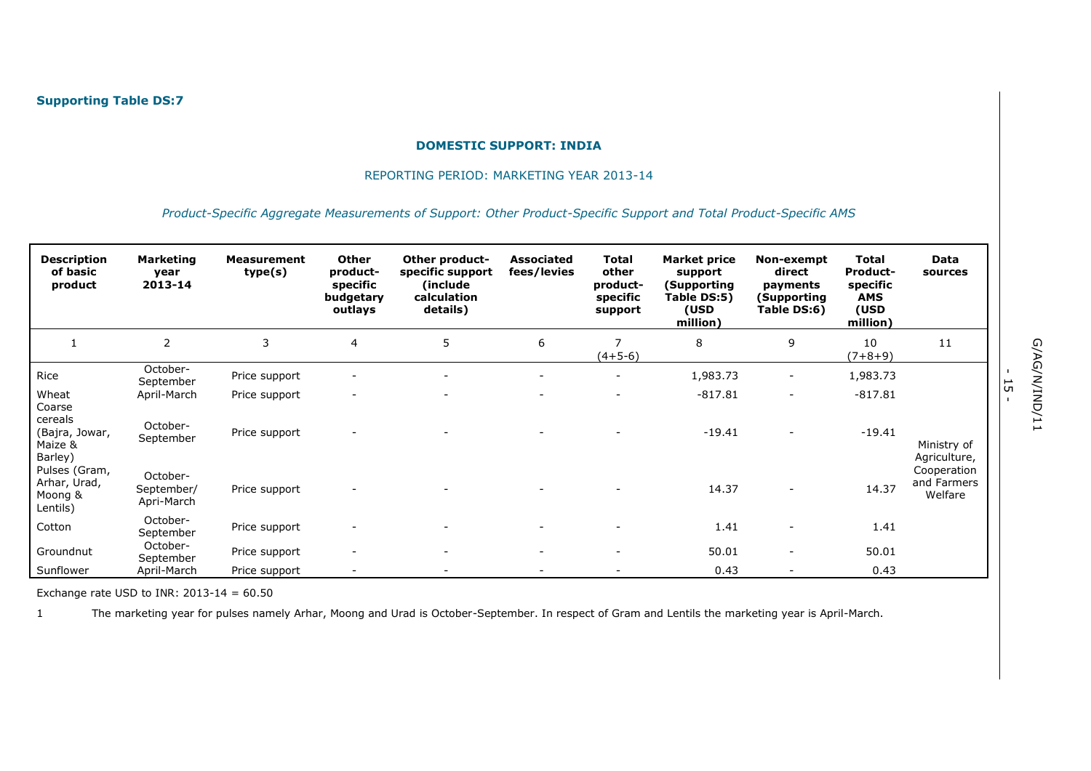#### REPORTING PERIOD: MARKETING YEAR 2013-14

#### *Product-Specific Aggregate Measurements of Support: Other Product-Specific Support and Total Product-Specific AMS*

| <b>Description</b><br>of basic<br>product                 | <b>Marketing</b><br>year<br>2013-14  | <b>Measurement</b><br>type(s) | Other<br>product-<br>specific<br>budgetary<br>outlays | Other product-<br>specific support<br>(include)<br>calculation<br>details) | <b>Associated</b><br>fees/levies | Total<br>other<br>product-<br>specific<br>support | <b>Market price</b><br>support<br>(Supporting<br>Table DS:5)<br>(USD<br>million) | Non-exempt<br>direct<br>payments<br>(Supporting<br>Table DS:6) | Total<br><b>Product-</b><br>specific<br>AMS<br>(USD<br>million) | Data<br>sources                       |
|-----------------------------------------------------------|--------------------------------------|-------------------------------|-------------------------------------------------------|----------------------------------------------------------------------------|----------------------------------|---------------------------------------------------|----------------------------------------------------------------------------------|----------------------------------------------------------------|-----------------------------------------------------------------|---------------------------------------|
|                                                           | 2                                    | 3                             | $\overline{4}$                                        | 5                                                                          | 6                                | $\overline{7}$<br>$(4+5-6)$                       | 8                                                                                | 9                                                              | 10<br>$(7+8+9)$                                                 | 11                                    |
| Rice                                                      | October-<br>September                | Price support                 |                                                       |                                                                            |                                  | $\overline{\phantom{a}}$                          | 1,983.73                                                                         | $\overline{a}$                                                 | 1,983.73                                                        |                                       |
| Wheat                                                     | April-March                          | Price support                 |                                                       |                                                                            |                                  |                                                   | $-817.81$                                                                        | $\overline{\phantom{a}}$                                       | $-817.81$                                                       |                                       |
| Coarse<br>cereals<br>(Bajra, Jowar,<br>Maize &<br>Barley) | October-<br>September                | Price support                 |                                                       |                                                                            |                                  |                                                   | $-19.41$                                                                         |                                                                | $-19.41$                                                        | Ministry of<br>Agriculture,           |
| Pulses (Gram,<br>Arhar, Urad,<br>Moong &<br>Lentils)      | October-<br>September/<br>Apri-March | Price support                 |                                                       |                                                                            |                                  |                                                   | 14.37                                                                            |                                                                | 14.37                                                           | Cooperation<br>and Farmers<br>Welfare |
| Cotton                                                    | October-<br>September                | Price support                 |                                                       |                                                                            |                                  |                                                   | 1.41                                                                             |                                                                | 1.41                                                            |                                       |
| Groundnut                                                 | October-<br>September                | Price support                 | $\overline{\phantom{a}}$                              | $\overline{\phantom{m}}$                                                   | $\overline{\phantom{0}}$         |                                                   | 50.01                                                                            | $\overline{\phantom{a}}$                                       | 50.01                                                           |                                       |
| Sunflower                                                 | April-March                          | Price support                 |                                                       |                                                                            |                                  |                                                   | 0.43                                                                             |                                                                | 0.43                                                            |                                       |

Exchange rate USD to INR:  $2013-14 = 60.50$ 

1 The marketing year for pulses namely Arhar, Moong and Urad is October-September. In respect of Gram and Lentils the marketing year is April-March.

- ب<br>-